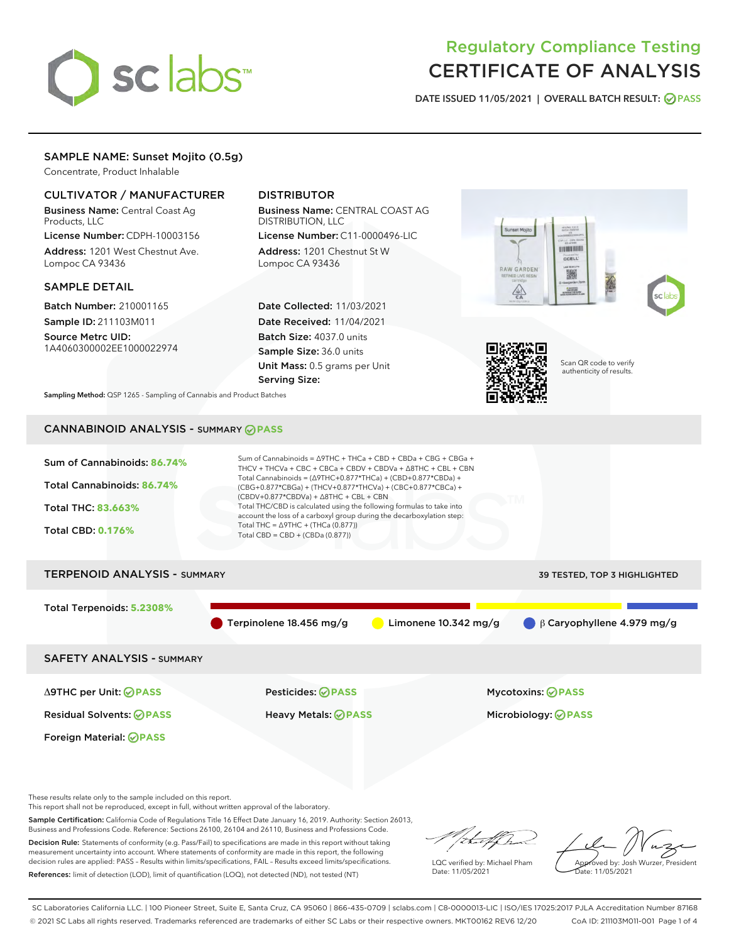

# Regulatory Compliance Testing CERTIFICATE OF ANALYSIS

DATE ISSUED 11/05/2021 | OVERALL BATCH RESULT: @ PASS

# SAMPLE NAME: Sunset Mojito (0.5g)

Concentrate, Product Inhalable

# CULTIVATOR / MANUFACTURER

Business Name: Central Coast Ag Products, LLC

License Number: CDPH-10003156 Address: 1201 West Chestnut Ave. Lompoc CA 93436

# SAMPLE DETAIL

Batch Number: 210001165 Sample ID: 211103M011

Source Metrc UID: 1A4060300002EE1000022974

# DISTRIBUTOR

Business Name: CENTRAL COAST AG DISTRIBUTION, LLC License Number: C11-0000496-LIC

Address: 1201 Chestnut St W Lompoc CA 93436

Date Collected: 11/03/2021 Date Received: 11/04/2021 Batch Size: 4037.0 units Sample Size: 36.0 units Unit Mass: 0.5 grams per Unit Serving Size:





Scan QR code to verify authenticity of results.

Sampling Method: QSP 1265 - Sampling of Cannabis and Product Batches

# CANNABINOID ANALYSIS - SUMMARY **PASS**



These results relate only to the sample included on this report.

This report shall not be reproduced, except in full, without written approval of the laboratory.

Sample Certification: California Code of Regulations Title 16 Effect Date January 16, 2019. Authority: Section 26013, Business and Professions Code. Reference: Sections 26100, 26104 and 26110, Business and Professions Code. Decision Rule: Statements of conformity (e.g. Pass/Fail) to specifications are made in this report without taking

measurement uncertainty into account. Where statements of conformity are made in this report, the following decision rules are applied: PASS – Results within limits/specifications, FAIL – Results exceed limits/specifications. References: limit of detection (LOD), limit of quantification (LOQ), not detected (ND), not tested (NT)

that f(ha

LQC verified by: Michael Pham Date: 11/05/2021

Approved by: Josh Wurzer, President ate: 11/05/2021

SC Laboratories California LLC. | 100 Pioneer Street, Suite E, Santa Cruz, CA 95060 | 866-435-0709 | sclabs.com | C8-0000013-LIC | ISO/IES 17025:2017 PJLA Accreditation Number 87168 © 2021 SC Labs all rights reserved. Trademarks referenced are trademarks of either SC Labs or their respective owners. MKT00162 REV6 12/20 CoA ID: 211103M011-001 Page 1 of 4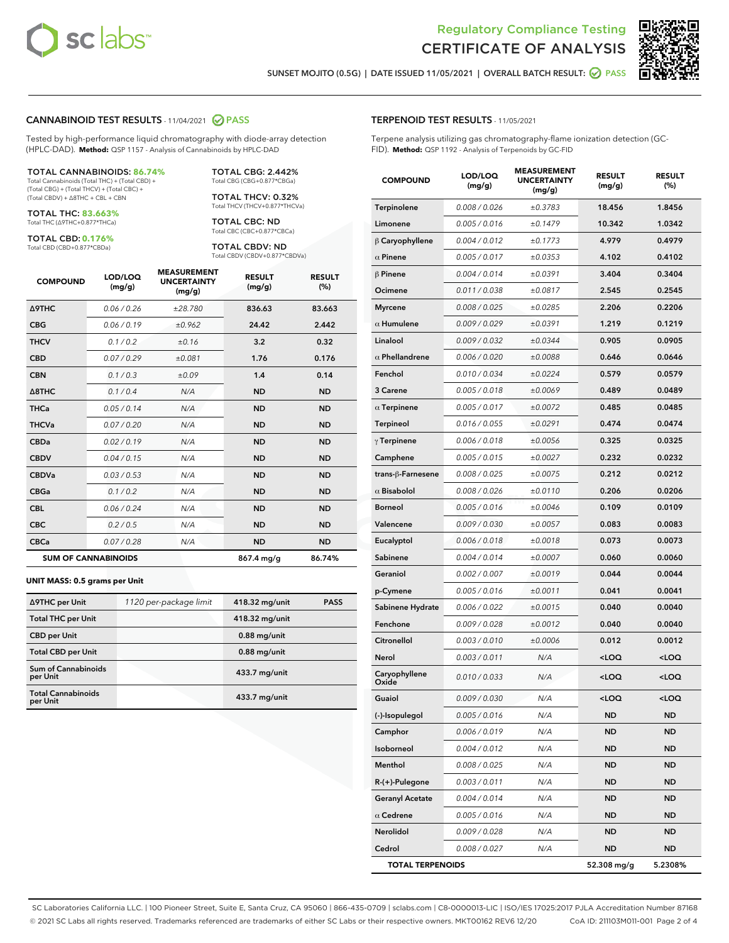



SUNSET MOJITO (0.5G) | DATE ISSUED 11/05/2021 | OVERALL BATCH RESULT: **○** PASS

## CANNABINOID TEST RESULTS - 11/04/2021 2 PASS

Tested by high-performance liquid chromatography with diode-array detection (HPLC-DAD). **Method:** QSP 1157 - Analysis of Cannabinoids by HPLC-DAD

#### TOTAL CANNABINOIDS: **86.74%**

Total Cannabinoids (Total THC) + (Total CBD) + (Total CBG) + (Total THCV) + (Total CBC) + (Total CBDV) + ∆8THC + CBL + CBN

TOTAL THC: **83.663%** Total THC (∆9THC+0.877\*THCa)

TOTAL CBD: **0.176%** Total CBD (CBD+0.877\*CBDa)

TOTAL CBG: 2.442% Total CBG (CBG+0.877\*CBGa)

TOTAL THCV: 0.32% Total THCV (THCV+0.877\*THCVa)

TOTAL CBC: ND Total CBC (CBC+0.877\*CBCa)

TOTAL CBDV: ND Total CBDV (CBDV+0.877\*CBDVa)

| <b>COMPOUND</b>            | LOD/LOQ<br>(mg/g) | <b>MEASUREMENT</b><br><b>UNCERTAINTY</b><br>(mg/g) | <b>RESULT</b><br>(mg/g) | <b>RESULT</b><br>(%) |
|----------------------------|-------------------|----------------------------------------------------|-------------------------|----------------------|
| <b>A9THC</b>               | 0.06 / 0.26       | ±28.780                                            | 836.63                  | 83.663               |
| <b>CBG</b>                 | 0.06/0.19         | ±0.962                                             | 24.42                   | 2.442                |
| <b>THCV</b>                | 0.1 / 0.2         | ±0.16                                              | 3.2                     | 0.32                 |
| <b>CBD</b>                 | 0.07/0.29         | ±0.081                                             | 1.76                    | 0.176                |
| <b>CBN</b>                 | 0.1 / 0.3         | ±0.09                                              | 1.4                     | 0.14                 |
| $\triangle$ 8THC           | 0.1 / 0.4         | N/A                                                | <b>ND</b>               | <b>ND</b>            |
| <b>THCa</b>                | 0.05/0.14         | N/A                                                | <b>ND</b>               | <b>ND</b>            |
| <b>THCVa</b>               | 0.07/0.20         | N/A                                                | <b>ND</b>               | <b>ND</b>            |
| <b>CBDa</b>                | 0.02/0.19         | N/A                                                | <b>ND</b>               | <b>ND</b>            |
| <b>CBDV</b>                | 0.04/0.15         | N/A                                                | <b>ND</b>               | <b>ND</b>            |
| <b>CBDVa</b>               | 0.03/0.53         | N/A                                                | <b>ND</b>               | <b>ND</b>            |
| <b>CBGa</b>                | 0.1/0.2           | N/A                                                | <b>ND</b>               | <b>ND</b>            |
| <b>CBL</b>                 | 0.06 / 0.24       | N/A                                                | <b>ND</b>               | <b>ND</b>            |
| <b>CBC</b>                 | 0.2 / 0.5         | N/A                                                | <b>ND</b>               | <b>ND</b>            |
| <b>CBCa</b>                | 0.07 / 0.28       | N/A                                                | <b>ND</b>               | <b>ND</b>            |
| <b>SUM OF CANNABINOIDS</b> |                   |                                                    | 867.4 mg/g              | 86.74%               |

#### **UNIT MASS: 0.5 grams per Unit**

| ∆9THC per Unit                         | 1120 per-package limit | 418.32 mg/unit | <b>PASS</b> |
|----------------------------------------|------------------------|----------------|-------------|
| <b>Total THC per Unit</b>              |                        | 418.32 mg/unit |             |
| <b>CBD</b> per Unit                    |                        | $0.88$ mg/unit |             |
| <b>Total CBD per Unit</b>              |                        | $0.88$ mg/unit |             |
| <b>Sum of Cannabinoids</b><br>per Unit |                        | 433.7 mg/unit  |             |
| <b>Total Cannabinoids</b><br>per Unit  |                        | 433.7 mg/unit  |             |

| <b>COMPOUND</b>         | LOD/LOQ<br>(mg/g) | <b>MEASUREMENT</b><br><b>UNCERTAINTY</b><br>(mg/g) | <b>RESULT</b><br>(mg/g)                         | <b>RESULT</b><br>(%) |
|-------------------------|-------------------|----------------------------------------------------|-------------------------------------------------|----------------------|
| Terpinolene             | 0.008 / 0.026     | ±0.3783                                            | 18.456                                          | 1.8456               |
| Limonene                | 0.005 / 0.016     | ±0.1479                                            | 10.342                                          | 1.0342               |
| $\beta$ Caryophyllene   | 0.004 / 0.012     | ±0.1773                                            | 4.979                                           | 0.4979               |
| $\alpha$ Pinene         | 0.005 / 0.017     | ±0.0353                                            | 4.102                                           | 0.4102               |
| $\beta$ Pinene          | 0.004 / 0.014     | ±0.0391                                            | 3.404                                           | 0.3404               |
| Ocimene                 | 0.011 / 0.038     | ±0.0817                                            | 2.545                                           | 0.2545               |
| <b>Myrcene</b>          | 0.008 / 0.025     | ±0.0285                                            | 2.206                                           | 0.2206               |
| $\alpha$ Humulene       | 0.009 / 0.029     | ±0.0391                                            | 1.219                                           | 0.1219               |
| Linalool                | 0.009 / 0.032     | ±0.0344                                            | 0.905                                           | 0.0905               |
| $\alpha$ Phellandrene   | 0.006 / 0.020     | ±0.0088                                            | 0.646                                           | 0.0646               |
| Fenchol                 | 0.010 / 0.034     | ±0.0224                                            | 0.579                                           | 0.0579               |
| 3 Carene                | 0.005 / 0.018     | ±0.0069                                            | 0.489                                           | 0.0489               |
| $\alpha$ Terpinene      | 0.005 / 0.017     | ±0.0072                                            | 0.485                                           | 0.0485               |
| <b>Terpineol</b>        | 0.016 / 0.055     | ±0.0291                                            | 0.474                                           | 0.0474               |
| $\gamma$ Terpinene      | 0.006 / 0.018     | ±0.0056                                            | 0.325                                           | 0.0325               |
| Camphene                | 0.005 / 0.015     | ±0.0027                                            | 0.232                                           | 0.0232               |
| trans-ß-Farnesene       | 0.008 / 0.025     | ±0.0075                                            | 0.212                                           | 0.0212               |
| $\alpha$ Bisabolol      | 0.008 / 0.026     | ±0.0110                                            | 0.206                                           | 0.0206               |
| Borneol                 | 0.005 / 0.016     | ±0.0046                                            | 0.109                                           | 0.0109               |
| Valencene               | 0.009 / 0.030     | ±0.0057                                            | 0.083                                           | 0.0083               |
| Eucalyptol              | 0.006 / 0.018     | ±0.0018                                            | 0.073                                           | 0.0073               |
| Sabinene                | 0.004 / 0.014     | ±0.0007                                            | 0.060                                           | 0.0060               |
| Geraniol                | 0.002 / 0.007     | ±0.0019                                            | 0.044                                           | 0.0044               |
| p-Cymene                | 0.005 / 0.016     | ±0.0011                                            | 0.041                                           | 0.0041               |
| Sabinene Hydrate        | 0.006 / 0.022     | ±0.0015                                            | 0.040                                           | 0.0040               |
| Fenchone                | 0.009 / 0.028     | ±0.0012                                            | 0.040                                           | 0.0040               |
| Citronellol             | 0.003 / 0.010     | ±0.0006                                            | 0.012                                           | 0.0012               |
| Nerol                   | 0.003 / 0.011     | N/A                                                | <loq< th=""><th><loq< th=""></loq<></th></loq<> | <loq< th=""></loq<>  |
| Caryophyllene<br>Oxide  | 0.010 / 0.033     | N/A                                                | <loq< th=""><th><loq< th=""></loq<></th></loq<> | <loq< th=""></loq<>  |
| Guaiol                  | 0.009 / 0.030     | N/A                                                | $\sim$ 00                                       | 100 <sub>1</sub>     |
| (-)-Isopulegol          | 0.005 / 0.016     | N/A                                                | ND                                              | ND                   |
| Camphor                 | 0.006 / 0.019     | N/A                                                | ND                                              | ND                   |
| Isoborneol              | 0.004 / 0.012     | N/A                                                | ND                                              | ND                   |
| Menthol                 | 0.008 / 0.025     | N/A                                                | ND                                              | ND                   |
| R-(+)-Pulegone          | 0.003 / 0.011     | N/A                                                | ND                                              | ND                   |
| <b>Geranyl Acetate</b>  | 0.004 / 0.014     | N/A                                                | ND                                              | ND                   |
| $\alpha$ Cedrene        | 0.005 / 0.016     | N/A                                                | ND                                              | ND                   |
| Nerolidol               | 0.009 / 0.028     | N/A                                                | ND                                              | ND                   |
| Cedrol                  | 0.008 / 0.027     | N/A                                                | ND                                              | ND                   |
| <b>TOTAL TERPENOIDS</b> |                   |                                                    | 52.308 mg/g                                     | 5.2308%              |

SC Laboratories California LLC. | 100 Pioneer Street, Suite E, Santa Cruz, CA 95060 | 866-435-0709 | sclabs.com | C8-0000013-LIC | ISO/IES 17025:2017 PJLA Accreditation Number 87168 © 2021 SC Labs all rights reserved. Trademarks referenced are trademarks of either SC Labs or their respective owners. MKT00162 REV6 12/20 CoA ID: 211103M011-001 Page 2 of 4

# TERPENOID TEST RESULTS - 11/05/2021

Terpene analysis utilizing gas chromatography-flame ionization detection (GC-FID). **Method:** QSP 1192 - Analysis of Terpenoids by GC-FID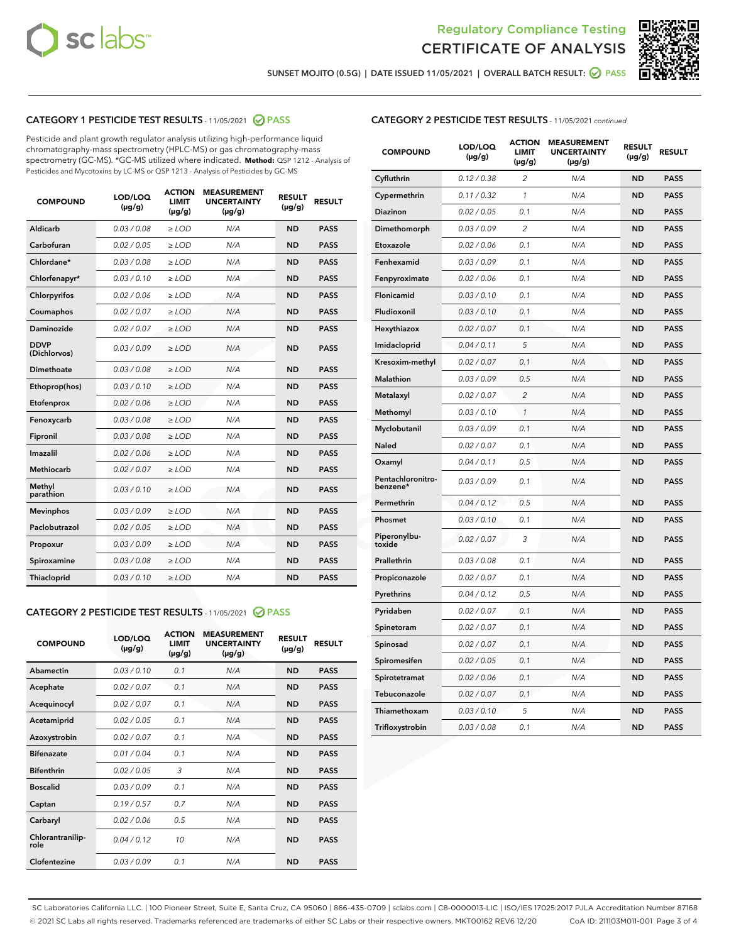



SUNSET MOJITO (0.5G) | DATE ISSUED 11/05/2021 | OVERALL BATCH RESULT: @ PASS

# CATEGORY 1 PESTICIDE TEST RESULTS - 11/05/2021 2 PASS

Pesticide and plant growth regulator analysis utilizing high-performance liquid chromatography-mass spectrometry (HPLC-MS) or gas chromatography-mass spectrometry (GC-MS). \*GC-MS utilized where indicated. **Method:** QSP 1212 - Analysis of Pesticides and Mycotoxins by LC-MS or QSP 1213 - Analysis of Pesticides by GC-MS

| <b>Aldicarb</b><br>0.03 / 0.08<br><b>ND</b><br>$\ge$ LOD<br>N/A<br><b>PASS</b><br>Carbofuran<br>0.02/0.05<br>$\ge$ LOD<br>N/A<br><b>ND</b><br><b>PASS</b><br>Chlordane*<br>0.03 / 0.08<br><b>ND</b><br>$>$ LOD<br>N/A<br><b>PASS</b><br>0.03/0.10<br><b>ND</b><br><b>PASS</b><br>Chlorfenapyr*<br>$\ge$ LOD<br>N/A<br>0.02 / 0.06<br>N/A<br><b>ND</b><br><b>PASS</b><br>Chlorpyrifos<br>$\ge$ LOD<br>0.02 / 0.07<br>N/A<br><b>ND</b><br><b>PASS</b><br>Coumaphos<br>$>$ LOD<br>Daminozide<br>0.02 / 0.07<br>$\ge$ LOD<br>N/A<br><b>ND</b><br><b>PASS</b><br><b>DDVP</b><br>0.03/0.09<br>$\ge$ LOD<br>N/A<br><b>ND</b><br><b>PASS</b><br>(Dichlorvos)<br>Dimethoate<br><b>ND</b><br><b>PASS</b><br>0.03 / 0.08<br>$>$ LOD<br>N/A<br>0.03/0.10<br>Ethoprop(hos)<br>$\ge$ LOD<br>N/A<br><b>ND</b><br><b>PASS</b><br>0.02 / 0.06<br>$\ge$ LOD<br>N/A<br><b>ND</b><br><b>PASS</b><br>Etofenprox<br>Fenoxycarb<br>0.03 / 0.08<br>$>$ LOD<br>N/A<br><b>ND</b><br><b>PASS</b><br>0.03 / 0.08<br><b>ND</b><br><b>PASS</b><br>Fipronil<br>$\ge$ LOD<br>N/A<br>Imazalil<br>0.02 / 0.06<br>$>$ LOD<br>N/A<br><b>ND</b><br><b>PASS</b><br>0.02 / 0.07<br>Methiocarb<br>N/A<br><b>ND</b><br>$>$ LOD<br><b>PASS</b><br>Methyl<br>0.03/0.10<br>$\ge$ LOD<br>N/A<br><b>ND</b><br><b>PASS</b><br>parathion<br>0.03/0.09<br>$\ge$ LOD<br>N/A<br><b>ND</b><br><b>PASS</b><br><b>Mevinphos</b><br>Paclobutrazol<br>0.02 / 0.05<br>$\ge$ LOD<br>N/A<br><b>ND</b><br><b>PASS</b><br>0.03/0.09<br>N/A<br>$\ge$ LOD<br><b>ND</b><br><b>PASS</b><br>Propoxur<br>0.03 / 0.08<br><b>ND</b><br><b>PASS</b><br>Spiroxamine<br>$\ge$ LOD<br>N/A<br><b>PASS</b><br>Thiacloprid<br>0.03/0.10<br>$\ge$ LOD<br>N/A<br><b>ND</b> | <b>COMPOUND</b> | LOD/LOQ<br>$(\mu g/g)$ | <b>ACTION</b><br>LIMIT<br>$(\mu g/g)$ | <b>MEASUREMENT</b><br><b>UNCERTAINTY</b><br>$(\mu g/g)$ | <b>RESULT</b><br>$(\mu g/g)$ | <b>RESULT</b> |
|----------------------------------------------------------------------------------------------------------------------------------------------------------------------------------------------------------------------------------------------------------------------------------------------------------------------------------------------------------------------------------------------------------------------------------------------------------------------------------------------------------------------------------------------------------------------------------------------------------------------------------------------------------------------------------------------------------------------------------------------------------------------------------------------------------------------------------------------------------------------------------------------------------------------------------------------------------------------------------------------------------------------------------------------------------------------------------------------------------------------------------------------------------------------------------------------------------------------------------------------------------------------------------------------------------------------------------------------------------------------------------------------------------------------------------------------------------------------------------------------------------------------------------------------------------------------------------------------------------------------------------------------------------------------------------------------|-----------------|------------------------|---------------------------------------|---------------------------------------------------------|------------------------------|---------------|
|                                                                                                                                                                                                                                                                                                                                                                                                                                                                                                                                                                                                                                                                                                                                                                                                                                                                                                                                                                                                                                                                                                                                                                                                                                                                                                                                                                                                                                                                                                                                                                                                                                                                                              |                 |                        |                                       |                                                         |                              |               |
|                                                                                                                                                                                                                                                                                                                                                                                                                                                                                                                                                                                                                                                                                                                                                                                                                                                                                                                                                                                                                                                                                                                                                                                                                                                                                                                                                                                                                                                                                                                                                                                                                                                                                              |                 |                        |                                       |                                                         |                              |               |
|                                                                                                                                                                                                                                                                                                                                                                                                                                                                                                                                                                                                                                                                                                                                                                                                                                                                                                                                                                                                                                                                                                                                                                                                                                                                                                                                                                                                                                                                                                                                                                                                                                                                                              |                 |                        |                                       |                                                         |                              |               |
|                                                                                                                                                                                                                                                                                                                                                                                                                                                                                                                                                                                                                                                                                                                                                                                                                                                                                                                                                                                                                                                                                                                                                                                                                                                                                                                                                                                                                                                                                                                                                                                                                                                                                              |                 |                        |                                       |                                                         |                              |               |
|                                                                                                                                                                                                                                                                                                                                                                                                                                                                                                                                                                                                                                                                                                                                                                                                                                                                                                                                                                                                                                                                                                                                                                                                                                                                                                                                                                                                                                                                                                                                                                                                                                                                                              |                 |                        |                                       |                                                         |                              |               |
|                                                                                                                                                                                                                                                                                                                                                                                                                                                                                                                                                                                                                                                                                                                                                                                                                                                                                                                                                                                                                                                                                                                                                                                                                                                                                                                                                                                                                                                                                                                                                                                                                                                                                              |                 |                        |                                       |                                                         |                              |               |
|                                                                                                                                                                                                                                                                                                                                                                                                                                                                                                                                                                                                                                                                                                                                                                                                                                                                                                                                                                                                                                                                                                                                                                                                                                                                                                                                                                                                                                                                                                                                                                                                                                                                                              |                 |                        |                                       |                                                         |                              |               |
|                                                                                                                                                                                                                                                                                                                                                                                                                                                                                                                                                                                                                                                                                                                                                                                                                                                                                                                                                                                                                                                                                                                                                                                                                                                                                                                                                                                                                                                                                                                                                                                                                                                                                              |                 |                        |                                       |                                                         |                              |               |
|                                                                                                                                                                                                                                                                                                                                                                                                                                                                                                                                                                                                                                                                                                                                                                                                                                                                                                                                                                                                                                                                                                                                                                                                                                                                                                                                                                                                                                                                                                                                                                                                                                                                                              |                 |                        |                                       |                                                         |                              |               |
|                                                                                                                                                                                                                                                                                                                                                                                                                                                                                                                                                                                                                                                                                                                                                                                                                                                                                                                                                                                                                                                                                                                                                                                                                                                                                                                                                                                                                                                                                                                                                                                                                                                                                              |                 |                        |                                       |                                                         |                              |               |
|                                                                                                                                                                                                                                                                                                                                                                                                                                                                                                                                                                                                                                                                                                                                                                                                                                                                                                                                                                                                                                                                                                                                                                                                                                                                                                                                                                                                                                                                                                                                                                                                                                                                                              |                 |                        |                                       |                                                         |                              |               |
|                                                                                                                                                                                                                                                                                                                                                                                                                                                                                                                                                                                                                                                                                                                                                                                                                                                                                                                                                                                                                                                                                                                                                                                                                                                                                                                                                                                                                                                                                                                                                                                                                                                                                              |                 |                        |                                       |                                                         |                              |               |
|                                                                                                                                                                                                                                                                                                                                                                                                                                                                                                                                                                                                                                                                                                                                                                                                                                                                                                                                                                                                                                                                                                                                                                                                                                                                                                                                                                                                                                                                                                                                                                                                                                                                                              |                 |                        |                                       |                                                         |                              |               |
|                                                                                                                                                                                                                                                                                                                                                                                                                                                                                                                                                                                                                                                                                                                                                                                                                                                                                                                                                                                                                                                                                                                                                                                                                                                                                                                                                                                                                                                                                                                                                                                                                                                                                              |                 |                        |                                       |                                                         |                              |               |
|                                                                                                                                                                                                                                                                                                                                                                                                                                                                                                                                                                                                                                                                                                                                                                                                                                                                                                                                                                                                                                                                                                                                                                                                                                                                                                                                                                                                                                                                                                                                                                                                                                                                                              |                 |                        |                                       |                                                         |                              |               |
|                                                                                                                                                                                                                                                                                                                                                                                                                                                                                                                                                                                                                                                                                                                                                                                                                                                                                                                                                                                                                                                                                                                                                                                                                                                                                                                                                                                                                                                                                                                                                                                                                                                                                              |                 |                        |                                       |                                                         |                              |               |
|                                                                                                                                                                                                                                                                                                                                                                                                                                                                                                                                                                                                                                                                                                                                                                                                                                                                                                                                                                                                                                                                                                                                                                                                                                                                                                                                                                                                                                                                                                                                                                                                                                                                                              |                 |                        |                                       |                                                         |                              |               |
|                                                                                                                                                                                                                                                                                                                                                                                                                                                                                                                                                                                                                                                                                                                                                                                                                                                                                                                                                                                                                                                                                                                                                                                                                                                                                                                                                                                                                                                                                                                                                                                                                                                                                              |                 |                        |                                       |                                                         |                              |               |
|                                                                                                                                                                                                                                                                                                                                                                                                                                                                                                                                                                                                                                                                                                                                                                                                                                                                                                                                                                                                                                                                                                                                                                                                                                                                                                                                                                                                                                                                                                                                                                                                                                                                                              |                 |                        |                                       |                                                         |                              |               |
|                                                                                                                                                                                                                                                                                                                                                                                                                                                                                                                                                                                                                                                                                                                                                                                                                                                                                                                                                                                                                                                                                                                                                                                                                                                                                                                                                                                                                                                                                                                                                                                                                                                                                              |                 |                        |                                       |                                                         |                              |               |
|                                                                                                                                                                                                                                                                                                                                                                                                                                                                                                                                                                                                                                                                                                                                                                                                                                                                                                                                                                                                                                                                                                                                                                                                                                                                                                                                                                                                                                                                                                                                                                                                                                                                                              |                 |                        |                                       |                                                         |                              |               |

### CATEGORY 2 PESTICIDE TEST RESULTS - 11/05/2021 @ PASS

| <b>COMPOUND</b>          | LOD/LOO<br>$(\mu g/g)$ | <b>ACTION</b><br>LIMIT<br>$(\mu g/g)$ | <b>MEASUREMENT</b><br><b>UNCERTAINTY</b><br>$(\mu g/g)$ | <b>RESULT</b><br>$(\mu g/g)$ | <b>RESULT</b> |  |
|--------------------------|------------------------|---------------------------------------|---------------------------------------------------------|------------------------------|---------------|--|
| Abamectin                | 0.03/0.10              | 0.1                                   | N/A                                                     | <b>ND</b>                    | <b>PASS</b>   |  |
| Acephate                 | 0.02/0.07              | 0.1                                   | N/A                                                     | <b>ND</b>                    | <b>PASS</b>   |  |
| Acequinocyl              | 0.02/0.07              | 0.1                                   | N/A                                                     | <b>ND</b>                    | <b>PASS</b>   |  |
| Acetamiprid              | 0.02 / 0.05            | 0.1                                   | N/A                                                     | <b>ND</b>                    | <b>PASS</b>   |  |
| Azoxystrobin             | 0.02/0.07              | 0.1                                   | N/A                                                     | <b>ND</b>                    | <b>PASS</b>   |  |
| <b>Bifenazate</b>        | 0.01 / 0.04            | 0.1                                   | N/A                                                     | <b>ND</b>                    | <b>PASS</b>   |  |
| <b>Bifenthrin</b>        | 0.02 / 0.05            | 3                                     | N/A                                                     | <b>ND</b>                    | <b>PASS</b>   |  |
| <b>Boscalid</b>          | 0.03/0.09              | 0.1                                   | N/A                                                     | <b>ND</b>                    | <b>PASS</b>   |  |
| Captan                   | 0.19/0.57              | 0.7                                   | N/A                                                     | <b>ND</b>                    | <b>PASS</b>   |  |
| Carbaryl                 | 0.02/0.06              | 0.5                                   | N/A                                                     | <b>ND</b>                    | <b>PASS</b>   |  |
| Chlorantranilip-<br>role | 0.04/0.12              | 10                                    | N/A                                                     | <b>ND</b>                    | <b>PASS</b>   |  |
| Clofentezine             | 0.03/0.09              | 0.1                                   | N/A                                                     | <b>ND</b>                    | <b>PASS</b>   |  |

# CATEGORY 2 PESTICIDE TEST RESULTS - 11/05/2021 continued

| <b>COMPOUND</b>               | LOD/LOQ<br>(µg/g) | <b>ACTION</b><br><b>LIMIT</b><br>$(\mu g/g)$ | <b>MEASUREMENT</b><br><b>UNCERTAINTY</b><br>$(\mu g/g)$ | <b>RESULT</b><br>(µg/g) | <b>RESULT</b> |
|-------------------------------|-------------------|----------------------------------------------|---------------------------------------------------------|-------------------------|---------------|
| Cyfluthrin                    | 0.12 / 0.38       | $\overline{c}$                               | N/A                                                     | <b>ND</b>               | <b>PASS</b>   |
| Cypermethrin                  | 0.11 / 0.32       | 1                                            | N/A                                                     | ND                      | <b>PASS</b>   |
| Diazinon                      | 0.02 / 0.05       | 0.1                                          | N/A                                                     | ND                      | <b>PASS</b>   |
| Dimethomorph                  | 0.03 / 0.09       | 2                                            | N/A                                                     | ND                      | <b>PASS</b>   |
| Etoxazole                     | 0.02 / 0.06       | 0.1                                          | N/A                                                     | <b>ND</b>               | <b>PASS</b>   |
| Fenhexamid                    | 0.03 / 0.09       | 0.1                                          | N/A                                                     | <b>ND</b>               | <b>PASS</b>   |
| Fenpyroximate                 | 0.02 / 0.06       | 0.1                                          | N/A                                                     | ND                      | <b>PASS</b>   |
| Flonicamid                    | 0.03 / 0.10       | 0.1                                          | N/A                                                     | ND                      | <b>PASS</b>   |
| Fludioxonil                   | 0.03 / 0.10       | 0.1                                          | N/A                                                     | <b>ND</b>               | <b>PASS</b>   |
| Hexythiazox                   | 0.02 / 0.07       | 0.1                                          | N/A                                                     | ND                      | <b>PASS</b>   |
| Imidacloprid                  | 0.04 / 0.11       | 5                                            | N/A                                                     | ND                      | <b>PASS</b>   |
| Kresoxim-methyl               | 0.02 / 0.07       | 0.1                                          | N/A                                                     | <b>ND</b>               | <b>PASS</b>   |
| <b>Malathion</b>              | 0.03 / 0.09       | 0.5                                          | N/A                                                     | ND                      | <b>PASS</b>   |
| Metalaxyl                     | 0.02 / 0.07       | $\overline{c}$                               | N/A                                                     | ND                      | <b>PASS</b>   |
| Methomyl                      | 0.03 / 0.10       | 1                                            | N/A                                                     | <b>ND</b>               | <b>PASS</b>   |
| Myclobutanil                  | 0.03 / 0.09       | 0.1                                          | N/A                                                     | ND                      | <b>PASS</b>   |
| Naled                         | 0.02 / 0.07       | 0.1                                          | N/A                                                     | ND                      | <b>PASS</b>   |
| Oxamyl                        | 0.04 / 0.11       | 0.5                                          | N/A                                                     | ND                      | <b>PASS</b>   |
| Pentachloronitro-<br>benzene* | 0.03 / 0.09       | 0.1                                          | N/A                                                     | ND                      | <b>PASS</b>   |
| Permethrin                    | 0.04 / 0.12       | 0.5                                          | N/A                                                     | <b>ND</b>               | <b>PASS</b>   |
| Phosmet                       | 0.03 / 0.10       | 0.1                                          | N/A                                                     | <b>ND</b>               | <b>PASS</b>   |
| Piperonylbu-<br>toxide        | 0.02 / 0.07       | 3                                            | N/A                                                     | ND                      | <b>PASS</b>   |
| Prallethrin                   | 0.03 / 0.08       | 0.1                                          | N/A                                                     | <b>ND</b>               | <b>PASS</b>   |
| Propiconazole                 | 0.02 / 0.07       | 0.1                                          | N/A                                                     | ND                      | <b>PASS</b>   |
| Pyrethrins                    | 0.04 / 0.12       | 0.5                                          | N/A                                                     | ND                      | <b>PASS</b>   |
| Pyridaben                     | 0.02 / 0.07       | 0.1                                          | N/A                                                     | ND                      | <b>PASS</b>   |
| Spinetoram                    | 0.02 / 0.07       | 0.1                                          | N/A                                                     | ND                      | <b>PASS</b>   |
| Spinosad                      | 0.02 / 0.07       | 0.1                                          | N/A                                                     | ND                      | <b>PASS</b>   |
| Spiromesifen                  | 0.02 / 0.05       | 0.1                                          | N/A                                                     | <b>ND</b>               | <b>PASS</b>   |
| Spirotetramat                 | 0.02 / 0.06       | 0.1                                          | N/A                                                     | ND                      | <b>PASS</b>   |
| Tebuconazole                  | 0.02 / 0.07       | 0.1                                          | N/A                                                     | ND                      | <b>PASS</b>   |
| Thiamethoxam                  | 0.03 / 0.10       | 5                                            | N/A                                                     | <b>ND</b>               | <b>PASS</b>   |
| Trifloxystrobin               | 0.03 / 0.08       | 0.1                                          | N/A                                                     | <b>ND</b>               | <b>PASS</b>   |

SC Laboratories California LLC. | 100 Pioneer Street, Suite E, Santa Cruz, CA 95060 | 866-435-0709 | sclabs.com | C8-0000013-LIC | ISO/IES 17025:2017 PJLA Accreditation Number 87168 © 2021 SC Labs all rights reserved. Trademarks referenced are trademarks of either SC Labs or their respective owners. MKT00162 REV6 12/20 CoA ID: 211103M011-001 Page 3 of 4